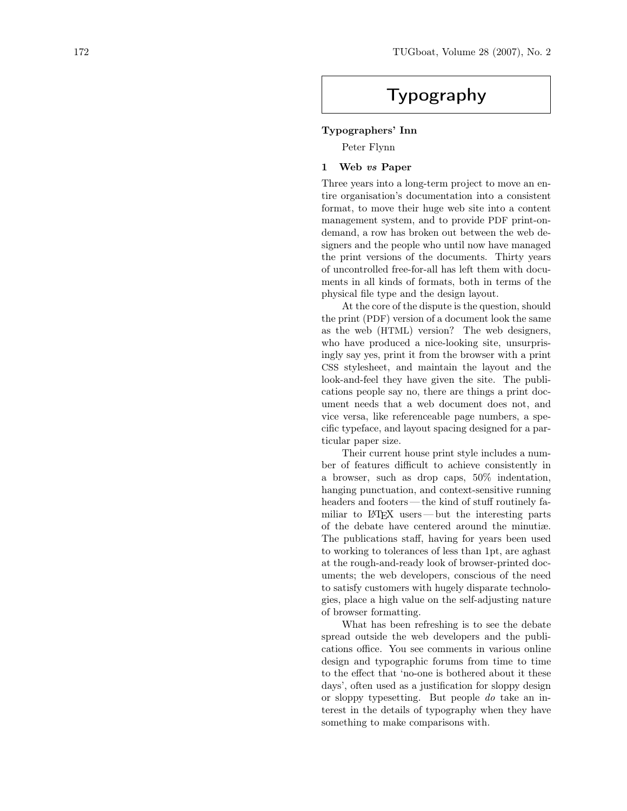# Typography

## Typographers' Inn

Peter Flynn

#### 1 Web vs Paper

Three years into a long-term project to move an entire organisation's documentation into a consistent format, to move their huge web site into a content management system, and to provide PDF print-ondemand, a row has broken out between the web designers and the people who until now have managed the print versions of the documents. Thirty years of uncontrolled free-for-all has left them with documents in all kinds of formats, both in terms of the physical file type and the design layout.

At the core of the dispute is the question, should the print (PDF) version of a document look the same as the web (HTML) version? The web designers, who have produced a nice-looking site, unsurprisingly say yes, print it from the browser with a print CSS stylesheet, and maintain the layout and the look-and-feel they have given the site. The publications people say no, there are things a print document needs that a web document does not, and vice versa, like referenceable page numbers, a specific typeface, and layout spacing designed for a particular paper size.

Their current house print style includes a number of features difficult to achieve consistently in a browser, such as drop caps, 50% indentation, hanging punctuation, and context-sensitive running headers and footers—the kind of stuff routinely familiar to LATEX users — but the interesting parts of the debate have centered around the minutiæ. The publications staff, having for years been used to working to tolerances of less than 1pt, are aghast at the rough-and-ready look of browser-printed documents; the web developers, conscious of the need to satisfy customers with hugely disparate technologies, place a high value on the self-adjusting nature of browser formatting.

What has been refreshing is to see the debate spread outside the web developers and the publications office. You see comments in various online design and typographic forums from time to time to the effect that 'no-one is bothered about it these days', often used as a justification for sloppy design or sloppy typesetting. But people do take an interest in the details of typography when they have something to make comparisons with.